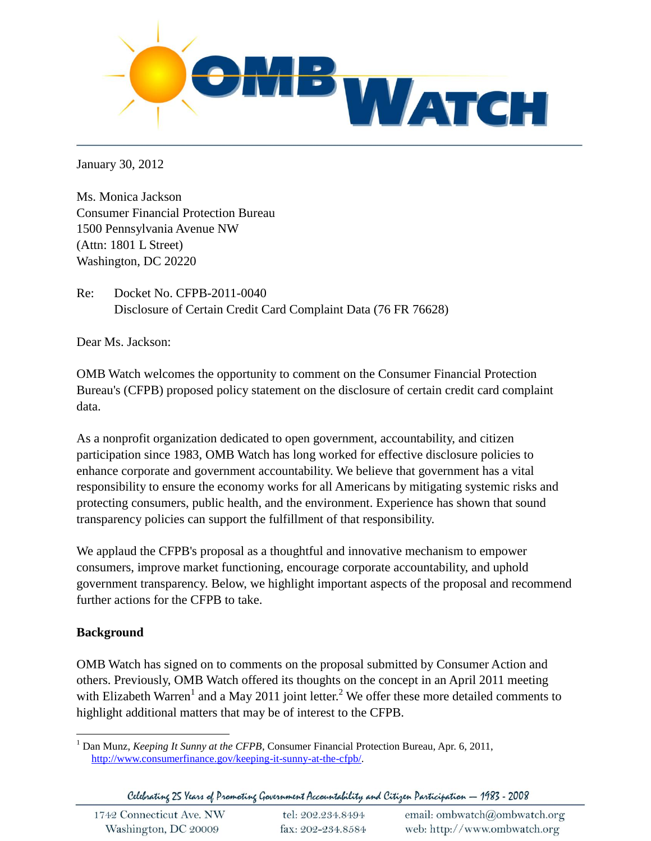

January 30, 2012

Ms. Monica Jackson Consumer Financial Protection Bureau 1500 Pennsylvania Avenue NW (Attn: 1801 L Street) Washington, DC 20220

Re: Docket No. CFPB-2011-0040 Disclosure of Certain Credit Card Complaint Data (76 FR 76628)

Dear Ms. Jackson:

OMB Watch welcomes the opportunity to comment on the Consumer Financial Protection Bureau's (CFPB) proposed policy statement on the disclosure of certain credit card complaint data.

As a nonprofit organization dedicated to open government, accountability, and citizen participation since 1983, OMB Watch has long worked for effective disclosure policies to enhance corporate and government accountability. We believe that government has a vital responsibility to ensure the economy works for all Americans by mitigating systemic risks and protecting consumers, public health, and the environment. Experience has shown that sound transparency policies can support the fulfillment of that responsibility.

We applaud the CFPB's proposal as a thoughtful and innovative mechanism to empower consumers, improve market functioning, encourage corporate accountability, and uphold government transparency. Below, we highlight important aspects of the proposal and recommend further actions for the CFPB to take.

# **Background**

OMB Watch has signed on to comments on the proposal submitted by Consumer Action and others. Previously, OMB Watch offered its thoughts on the concept in an April 2011 meeting with Elizabeth Warren<sup>1</sup> and a May 2011 joint letter.<sup>2</sup> We offer these more detailed comments to highlight additional matters that may be of interest to the CFPB.

Celebrating 25 Years of Promoting Government Accountability and Citizen Participation - 1983 - 2008

 $\overline{a}$ <sup>1</sup> Dan Munz, *Keeping It Sunny at the CFPB*, Consumer Financial Protection Bureau, Apr. 6, 2011, [http://www.consumerfinance.gov/keeping-it-sunny-at-the-cfpb/.](http://www.consumerfinance.gov/keeping-it-sunny-at-the-cfpb/)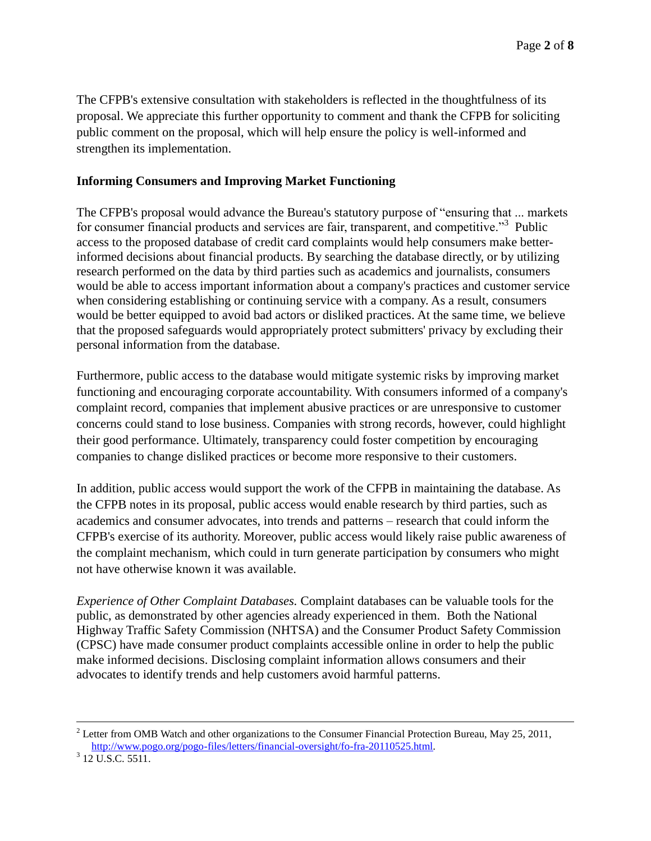The CFPB's extensive consultation with stakeholders is reflected in the thoughtfulness of its proposal. We appreciate this further opportunity to comment and thank the CFPB for soliciting public comment on the proposal, which will help ensure the policy is well-informed and strengthen its implementation.

## **Informing Consumers and Improving Market Functioning**

The CFPB's proposal would advance the Bureau's statutory purpose of "ensuring that ... markets for consumer financial products and services are fair, transparent, and competitive."<sup>3</sup> Public access to the proposed database of credit card complaints would help consumers make betterinformed decisions about financial products. By searching the database directly, or by utilizing research performed on the data by third parties such as academics and journalists, consumers would be able to access important information about a company's practices and customer service when considering establishing or continuing service with a company. As a result, consumers would be better equipped to avoid bad actors or disliked practices. At the same time, we believe that the proposed safeguards would appropriately protect submitters' privacy by excluding their personal information from the database.

Furthermore, public access to the database would mitigate systemic risks by improving market functioning and encouraging corporate accountability. With consumers informed of a company's complaint record, companies that implement abusive practices or are unresponsive to customer concerns could stand to lose business. Companies with strong records, however, could highlight their good performance. Ultimately, transparency could foster competition by encouraging companies to change disliked practices or become more responsive to their customers.

In addition, public access would support the work of the CFPB in maintaining the database. As the CFPB notes in its proposal, public access would enable research by third parties, such as academics and consumer advocates, into trends and patterns – research that could inform the CFPB's exercise of its authority. Moreover, public access would likely raise public awareness of the complaint mechanism, which could in turn generate participation by consumers who might not have otherwise known it was available.

*Experience of Other Complaint Databases.* Complaint databases can be valuable tools for the public, as demonstrated by other agencies already experienced in them. Both the National Highway Traffic Safety Commission (NHTSA) and the Consumer Product Safety Commission (CPSC) have made consumer product complaints accessible online in order to help the public make informed decisions. Disclosing complaint information allows consumers and their advocates to identify trends and help customers avoid harmful patterns.

 $\overline{a}$ 

<sup>&</sup>lt;sup>2</sup> Letter from OMB Watch and other organizations to the Consumer Financial Protection Bureau, May 25, 2011, [http://www.pogo.org/pogo-files/letters/financial-oversight/fo-fra-20110525.html.](http://www.pogo.org/pogo-files/letters/financial-oversight/fo-fra-20110525.html)

 $3$  12 U.S.C. 5511.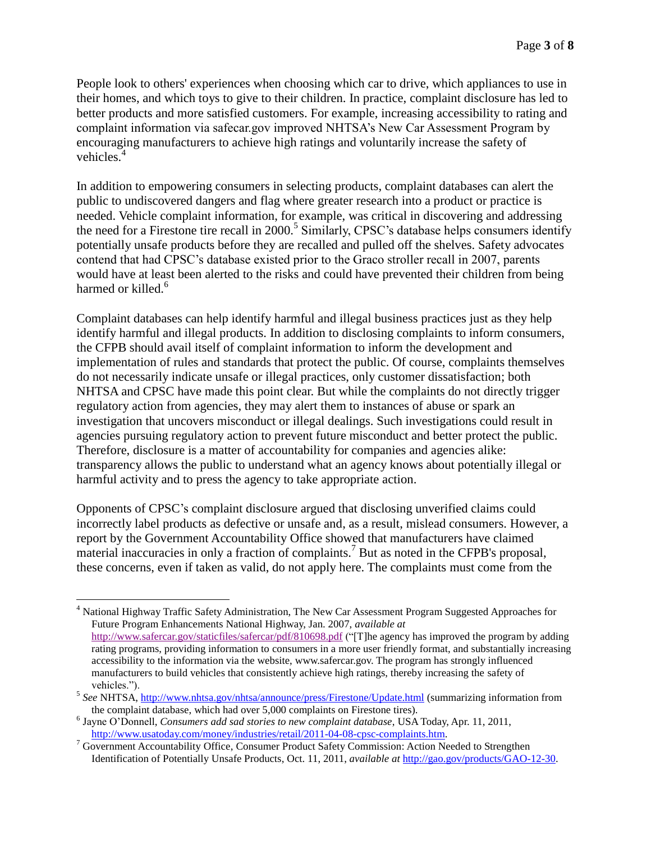People look to others' experiences when choosing which car to drive, which appliances to use in their homes, and which toys to give to their children. In practice, complaint disclosure has led to better products and more satisfied customers. For example, increasing accessibility to rating and complaint information via safecar.gov improved NHTSA's New Car Assessment Program by encouraging manufacturers to achieve high ratings and voluntarily increase the safety of vehicles.<sup>4</sup>

In addition to empowering consumers in selecting products, complaint databases can alert the public to undiscovered dangers and flag where greater research into a product or practice is needed. Vehicle complaint information, for example, was critical in discovering and addressing the need for a Firestone tire recall in 2000.<sup>5</sup> Similarly, CPSC's database helps consumers identify potentially unsafe products before they are recalled and pulled off the shelves. Safety advocates contend that had CPSC's database existed prior to the Graco stroller recall in 2007, parents would have at least been alerted to the risks and could have prevented their children from being harmed or killed.<sup>6</sup>

Complaint databases can help identify harmful and illegal business practices just as they help identify harmful and illegal products. In addition to disclosing complaints to inform consumers, the CFPB should avail itself of complaint information to inform the development and implementation of rules and standards that protect the public. Of course, complaints themselves do not necessarily indicate unsafe or illegal practices, only customer dissatisfaction; both NHTSA and CPSC have made this point clear. But while the complaints do not directly trigger regulatory action from agencies, they may alert them to instances of abuse or spark an investigation that uncovers misconduct or illegal dealings. Such investigations could result in agencies pursuing regulatory action to prevent future misconduct and better protect the public. Therefore, disclosure is a matter of accountability for companies and agencies alike: transparency allows the public to understand what an agency knows about potentially illegal or harmful activity and to press the agency to take appropriate action.

Opponents of CPSC's complaint disclosure argued that disclosing unverified claims could incorrectly label products as defective or unsafe and, as a result, mislead consumers. However, a report by the Government Accountability Office showed that manufacturers have claimed material inaccuracies in only a fraction of complaints.<sup>7</sup> But as noted in the CFPB's proposal, these concerns, even if taken as valid, do not apply here. The complaints must come from the

 $\overline{a}$ 

<sup>4</sup> National Highway Traffic Safety Administration, The New Car Assessment Program Suggested Approaches for Future Program Enhancements National Highway, Jan. 2007, *available at* <http://www.safercar.gov/staticfiles/safercar/pdf/810698.pdf> ("[T]he agency has improved the program by adding rating programs, providing information to consumers in a more user friendly format, and substantially increasing accessibility to the information via the website, www.safercar.gov. The program has strongly influenced manufacturers to build vehicles that consistently achieve high ratings, thereby increasing the safety of vehicles.").

<sup>&</sup>lt;sup>5</sup> See NHTSA,<http://www.nhtsa.gov/nhtsa/announce/press/Firestone/Update.html> (summarizing information from the complaint database, which had over 5,000 complaints on Firestone tires).

<sup>6</sup> Jayne O'Donnell, *Consumers add sad stories to new complaint database*, USA Today, Apr. 11, 2011, [http://www.usatoday.com/money/industries/retail/2011-04-08-cpsc-complaints.htm.](http://www.usatoday.com/money/industries/retail/2011-04-08-cpsc-complaints.htm)

<sup>&</sup>lt;sup>7</sup> Government Accountability Office, Consumer Product Safety Commission: Action Needed to Strengthen Identification of Potentially Unsafe Products, Oct. 11, 2011, *available at* [http://gao.gov/products/GAO-12-30.](http://gao.gov/products/GAO-12-30)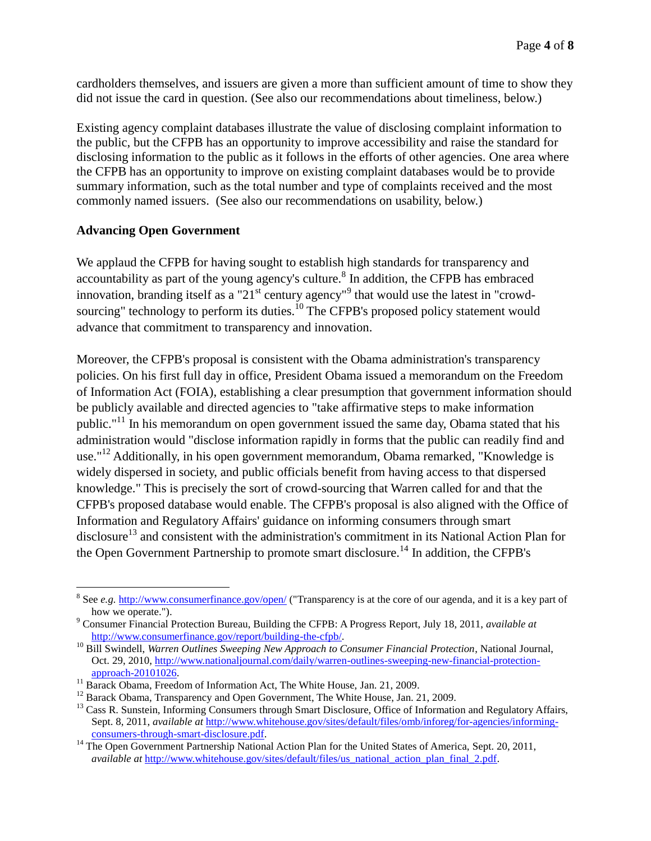cardholders themselves, and issuers are given a more than sufficient amount of time to show they did not issue the card in question. (See also our recommendations about timeliness, below.)

Existing agency complaint databases illustrate the value of disclosing complaint information to the public, but the CFPB has an opportunity to improve accessibility and raise the standard for disclosing information to the public as it follows in the efforts of other agencies. One area where the CFPB has an opportunity to improve on existing complaint databases would be to provide summary information, such as the total number and type of complaints received and the most commonly named issuers. (See also our recommendations on usability, below.)

### **Advancing Open Government**

 $\overline{a}$ 

We applaud the CFPB for having sought to establish high standards for transparency and accountability as part of the young agency's culture.<sup>8</sup> In addition, the CFPB has embraced innovation, branding itself as a "21<sup>st</sup> century agency"<sup>9</sup> that would use the latest in "crowdsourcing" technology to perform its duties.<sup>10</sup> The CFPB's proposed policy statement would advance that commitment to transparency and innovation.

Moreover, the CFPB's proposal is consistent with the Obama administration's transparency policies. On his first full day in office, President Obama issued a memorandum on the Freedom of Information Act (FOIA), establishing a clear presumption that government information should be publicly available and directed agencies to "take affirmative steps to make information public."<sup>11</sup> In his memorandum on open government issued the same day, Obama stated that his administration would "disclose information rapidly in forms that the public can readily find and use."<sup>12</sup> Additionally, in his open government memorandum, Obama remarked, "Knowledge is widely dispersed in society, and public officials benefit from having access to that dispersed knowledge." This is precisely the sort of crowd-sourcing that Warren called for and that the CFPB's proposed database would enable. The CFPB's proposal is also aligned with the Office of Information and Regulatory Affairs' guidance on informing consumers through smart disclosure<sup>13</sup> and consistent with the administration's commitment in its National Action Plan for the Open Government Partnership to promote smart disclosure.<sup>14</sup> In addition, the CFPB's

<sup>&</sup>lt;sup>8</sup> See *e.g.* <http://www.consumerfinance.gov/open/> ("Transparency is at the core of our agenda, and it is a key part of how we operate.").

<sup>9</sup> Consumer Financial Protection Bureau, Building the CFPB: A Progress Report, July 18, 2011, *available at*  [http://www.consumerfinance.gov/report/building-the-cfpb/.](http://www.consumerfinance.gov/report/building-the-cfpb/)

<sup>10</sup> Bill Swindell, *Warren Outlines Sweeping New Approach to Consumer Financial Protection*, National Journal, Oct. 29, 2010[, http://www.nationaljournal.com/daily/warren-outlines-sweeping-new-financial-protection](http://www.nationaljournal.com/daily/warren-outlines-sweeping-new-financial-protection-approach-20101026)[approach-20101026.](http://www.nationaljournal.com/daily/warren-outlines-sweeping-new-financial-protection-approach-20101026)

<sup>&</sup>lt;sup>11</sup> Barack Obama, Freedom of Information Act, The White House, Jan. 21, 2009.

<sup>&</sup>lt;sup>12</sup> Barack Obama, Transparency and Open Government, The White House, Jan. 21, 2009.

<sup>&</sup>lt;sup>13</sup> Cass R. Sunstein, Informing Consumers through Smart Disclosure, Office of Information and Regulatory Affairs, Sept. 8, 2011, *available at* [http://www.whitehouse.gov/sites/default/files/omb/inforeg/for-agencies/informing](http://www.whitehouse.gov/sites/default/files/omb/inforeg/for-agencies/informing-consumers-through-smart-disclosure.pdf)[consumers-through-smart-disclosure.pdf.](http://www.whitehouse.gov/sites/default/files/omb/inforeg/for-agencies/informing-consumers-through-smart-disclosure.pdf)

<sup>&</sup>lt;sup>14</sup> The Open Government Partnership National Action Plan for the United States of America, Sept. 20, 2011, *available at [http://www.whitehouse.gov/sites/default/files/us\\_national\\_action\\_plan\\_final\\_2.pdf.](http://www.whitehouse.gov/sites/default/files/us_national_action_plan_final_2.pdf)*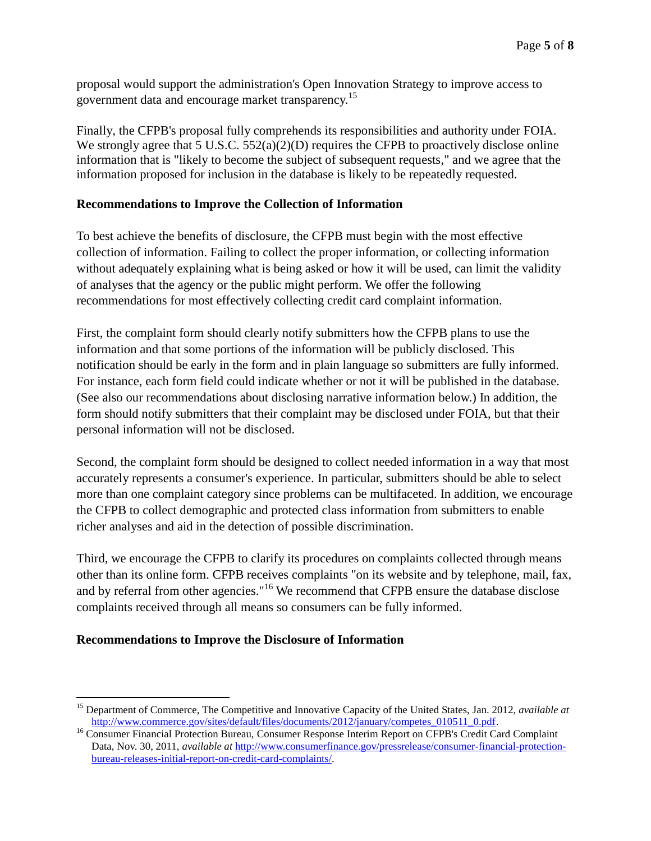proposal would support the administration's Open Innovation Strategy to improve access to government data and encourage market transparency.<sup>15</sup>

Finally, the CFPB's proposal fully comprehends its responsibilities and authority under FOIA. We strongly agree that 5 U.S.C. 552(a)(2)(D) requires the CFPB to proactively disclose online information that is "likely to become the subject of subsequent requests," and we agree that the information proposed for inclusion in the database is likely to be repeatedly requested.

# **Recommendations to Improve the Collection of Information**

To best achieve the benefits of disclosure, the CFPB must begin with the most effective collection of information. Failing to collect the proper information, or collecting information without adequately explaining what is being asked or how it will be used, can limit the validity of analyses that the agency or the public might perform. We offer the following recommendations for most effectively collecting credit card complaint information.

First, the complaint form should clearly notify submitters how the CFPB plans to use the information and that some portions of the information will be publicly disclosed. This notification should be early in the form and in plain language so submitters are fully informed. For instance, each form field could indicate whether or not it will be published in the database. (See also our recommendations about disclosing narrative information below.) In addition, the form should notify submitters that their complaint may be disclosed under FOIA, but that their personal information will not be disclosed.

Second, the complaint form should be designed to collect needed information in a way that most accurately represents a consumer's experience. In particular, submitters should be able to select more than one complaint category since problems can be multifaceted. In addition, we encourage the CFPB to collect demographic and protected class information from submitters to enable richer analyses and aid in the detection of possible discrimination.

Third, we encourage the CFPB to clarify its procedures on complaints collected through means other than its online form. CFPB receives complaints "on its website and by telephone, mail, fax, and by referral from other agencies."<sup>16</sup> We recommend that CFPB ensure the database disclose complaints received through all means so consumers can be fully informed.

# **Recommendations to Improve the Disclosure of Information**

 $\overline{a}$ <sup>15</sup> Department of Commerce, The Competitive and Innovative Capacity of the United States, Jan. 2012, *available at*  [http://www.commerce.gov/sites/default/files/documents/2012/january/competes\\_010511\\_0.pdf.](http://www.commerce.gov/sites/default/files/documents/2012/january/competes_010511_0.pdf)

<sup>&</sup>lt;sup>16</sup> Consumer Financial Protection Bureau, Consumer Response Interim Report on CFPB's Credit Card Complaint Data, Nov. 30, 2011, *available at* [http://www.consumerfinance.gov/pressrelease/consumer-financial-protection](http://www.consumerfinance.gov/pressrelease/consumer-financial-protection-bureau-releases-initial-report-on-credit-card-complaints/)[bureau-releases-initial-report-on-credit-card-complaints/.](http://www.consumerfinance.gov/pressrelease/consumer-financial-protection-bureau-releases-initial-report-on-credit-card-complaints/)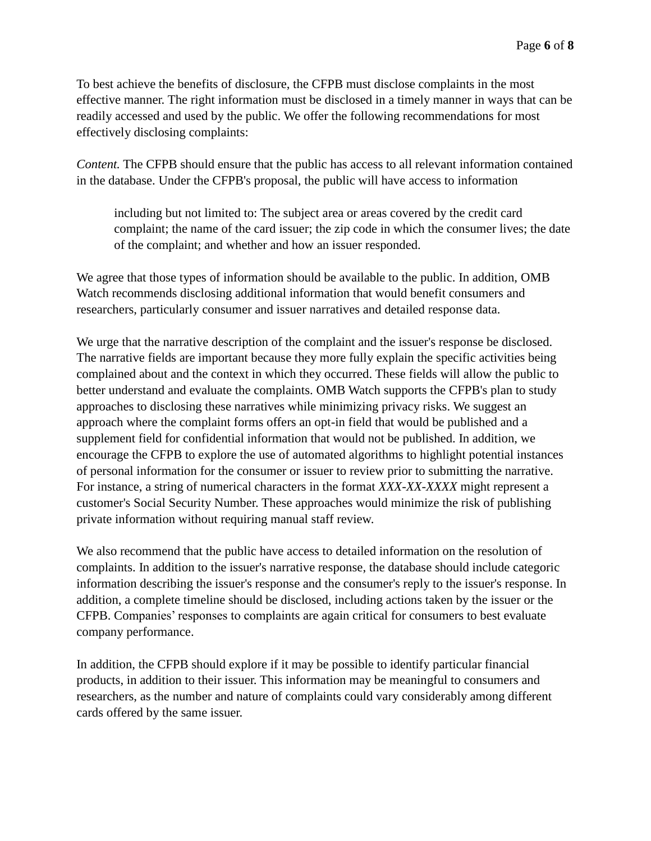To best achieve the benefits of disclosure, the CFPB must disclose complaints in the most effective manner. The right information must be disclosed in a timely manner in ways that can be readily accessed and used by the public. We offer the following recommendations for most effectively disclosing complaints:

*Content.* The CFPB should ensure that the public has access to all relevant information contained in the database. Under the CFPB's proposal, the public will have access to information

including but not limited to: The subject area or areas covered by the credit card complaint; the name of the card issuer; the zip code in which the consumer lives; the date of the complaint; and whether and how an issuer responded.

We agree that those types of information should be available to the public. In addition, OMB Watch recommends disclosing additional information that would benefit consumers and researchers, particularly consumer and issuer narratives and detailed response data.

We urge that the narrative description of the complaint and the issuer's response be disclosed. The narrative fields are important because they more fully explain the specific activities being complained about and the context in which they occurred. These fields will allow the public to better understand and evaluate the complaints. OMB Watch supports the CFPB's plan to study approaches to disclosing these narratives while minimizing privacy risks. We suggest an approach where the complaint forms offers an opt-in field that would be published and a supplement field for confidential information that would not be published. In addition, we encourage the CFPB to explore the use of automated algorithms to highlight potential instances of personal information for the consumer or issuer to review prior to submitting the narrative. For instance, a string of numerical characters in the format *XXX-XX-XXXX* might represent a customer's Social Security Number. These approaches would minimize the risk of publishing private information without requiring manual staff review.

We also recommend that the public have access to detailed information on the resolution of complaints. In addition to the issuer's narrative response, the database should include categoric information describing the issuer's response and the consumer's reply to the issuer's response. In addition, a complete timeline should be disclosed, including actions taken by the issuer or the CFPB. Companies' responses to complaints are again critical for consumers to best evaluate company performance.

In addition, the CFPB should explore if it may be possible to identify particular financial products, in addition to their issuer. This information may be meaningful to consumers and researchers, as the number and nature of complaints could vary considerably among different cards offered by the same issuer.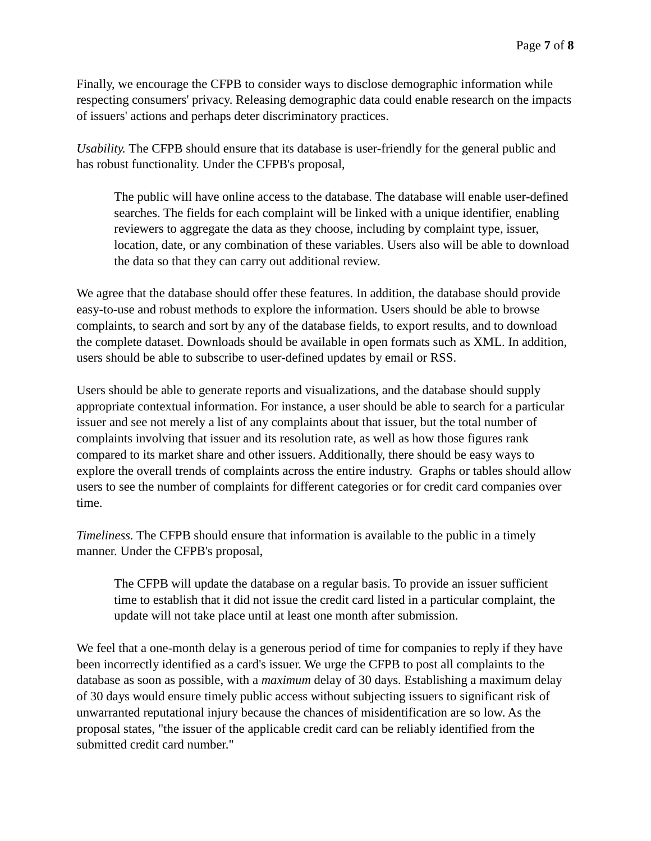Finally, we encourage the CFPB to consider ways to disclose demographic information while respecting consumers' privacy. Releasing demographic data could enable research on the impacts of issuers' actions and perhaps deter discriminatory practices.

*Usability.* The CFPB should ensure that its database is user-friendly for the general public and has robust functionality. Under the CFPB's proposal,

The public will have online access to the database. The database will enable user-defined searches. The fields for each complaint will be linked with a unique identifier, enabling reviewers to aggregate the data as they choose, including by complaint type, issuer, location, date, or any combination of these variables. Users also will be able to download the data so that they can carry out additional review.

We agree that the database should offer these features. In addition, the database should provide easy-to-use and robust methods to explore the information. Users should be able to browse complaints, to search and sort by any of the database fields, to export results, and to download the complete dataset. Downloads should be available in open formats such as XML. In addition, users should be able to subscribe to user-defined updates by email or RSS.

Users should be able to generate reports and visualizations, and the database should supply appropriate contextual information. For instance, a user should be able to search for a particular issuer and see not merely a list of any complaints about that issuer, but the total number of complaints involving that issuer and its resolution rate, as well as how those figures rank compared to its market share and other issuers. Additionally, there should be easy ways to explore the overall trends of complaints across the entire industry. Graphs or tables should allow users to see the number of complaints for different categories or for credit card companies over time.

*Timeliness.* The CFPB should ensure that information is available to the public in a timely manner. Under the CFPB's proposal,

The CFPB will update the database on a regular basis. To provide an issuer sufficient time to establish that it did not issue the credit card listed in a particular complaint, the update will not take place until at least one month after submission.

We feel that a one-month delay is a generous period of time for companies to reply if they have been incorrectly identified as a card's issuer. We urge the CFPB to post all complaints to the database as soon as possible, with a *maximum* delay of 30 days. Establishing a maximum delay of 30 days would ensure timely public access without subjecting issuers to significant risk of unwarranted reputational injury because the chances of misidentification are so low. As the proposal states, "the issuer of the applicable credit card can be reliably identified from the submitted credit card number."